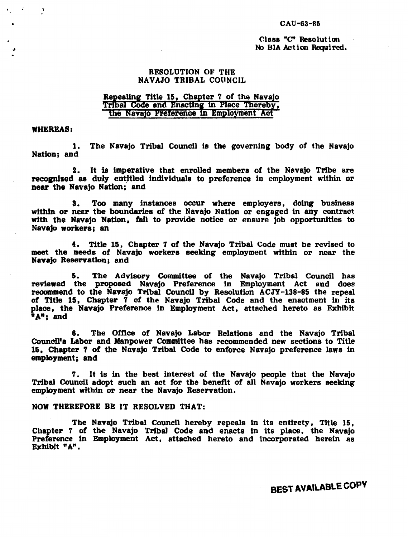#### CAU-63-85

### Class "C" Resolution No BIA Act ion Required.

### RESOLUTION OF THE NAVAJO TRIBAL COUNCIL

### Repealing Title 15, Chapter 7 of the Navajo Tribal Code and Enacting in Place Thereby, the Navajo Preference in Employment Act

### WHEREAS:

 $\mathcal{L}$ 

1. The Navajo Tribal Council is the governing body of the Navajo Nation; and

2. It 18 imperative that enrolled members cf the Navajo Tribe are recognized as duly entitled individuals to preference in employment within or near the Navajo Nation; and

3. Too many instances occur where employers, doing business within or near the boundaries of the Navajo Nation or engaged in any contract with the Navajo Nation, fail to provide notice or ensure job opportunities to Navajo workers; an

4. Title 15, Chapter *'1* of the Navajo Tribal Code must be revised to meet the needs of Navajo workers seeking employment within or near the Navajo Reservation; and

5. The Advisory Committee of the Navajo Tribal Council has reviewed the proposed Navajo Preference in Employment Act and does recommend to the Navajo Tribal Council by Resolution ACJY-138-85 the repeal of Title 15, Chapter  $\overline{7}$  of the Navajo Tribal Code and the enactment in its place, the Navajo Preference in Employment Act, attached hereto as Exhibit "A"; and

6. The Office of Navajo Labor Relations and the Navajo Tribal Councll's Labor and Manpower Committee has recommended new sections to Title 15, Chapter 7 of the Navajo Tribal Code to enforce Navajo preference laws in employment; and

*'1.* It is in the best interest of the Navajo people that the Navajo Tribal Council adopt such an act for the benefit of all Navajo workers seeking employment within or near the Navajo Reservation.

### NOW THEREFORE BE IT RESOLVED THAT:

The Navajo Tribal Council hereby repeals in its entirety, Title 15, Chapter *'1* of the Navajo Tribal Code and enacts in its place, the Navajo Preference in Employment Act. attached hereto and incorporated herein as Exhibit "A".

BEST AVAILABLE COPV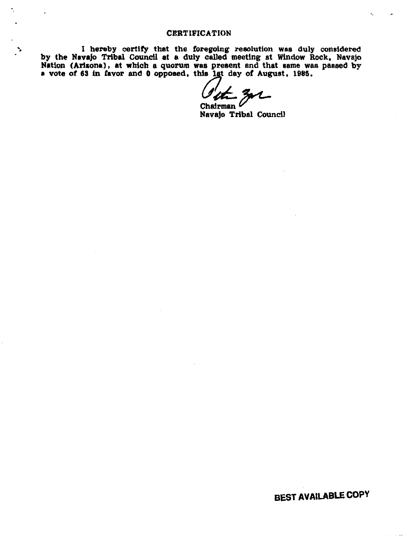### CERTIFICATION

<sup>~</sup>I hereby certify that the foregoing resolution was duly considered by the Navajo Tribal Council at a duly called meeting at Window Rock, Navajo Nation (Arlsona), at which a quorum was present and that same was passed by a vote of 63 in favor and 0 opposed, this 1st day of August, 1985.

 $\frac{m}{\text{Chairman}}$   $\frac{m}{\text{Neural}}$ 

BEST AVAILABLE COPY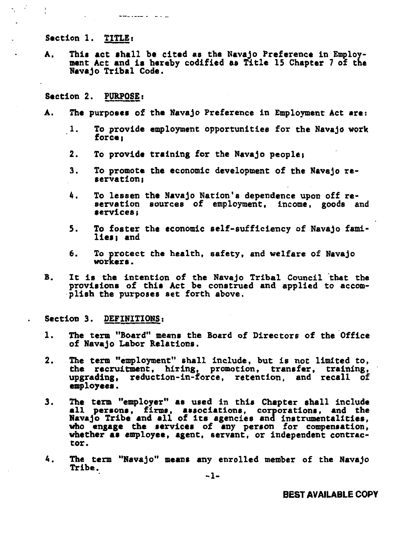Section 1. TITLE:

 $\begin{array}{ccccccccc}\n\textbf{w} & \textbf{w} & \textbf{w} & \textbf{w} & \textbf{w} & \textbf{w} & \textbf{w} & \textbf{w} & \textbf{w} & \textbf{w} & \textbf{w} & \textbf{w} & \textbf{w} & \textbf{w} & \textbf{w} & \textbf{w} & \textbf{w} & \textbf{w} & \textbf{w} & \textbf{w} & \textbf{w} & \textbf{w} & \textbf{w} & \textbf{w} & \textbf{w} & \textbf{w} & \textbf{w} & \textbf{w} & \textbf{w} & \textbf{w} &$ 

 $\mathcal{L}$ Н.

> A. This act shall be cited as the Navajo Preference in Employment Act and ia hereby codified as Title 15 Chapter 7 of the Navajo Tribal Code.

Section 2. PURPOSE:

- A. The purposes of the Navajo Preference in Employment Act are:
	- $\mathbf{1}$ . To provide employment opportunities for the Navajo work<br>force;
	- 2. To provide training for the Navajo people:
	- 3. To promote the economic development of the Navajo re-<br>servation;
	- 4. To lessen the Navajo Nation's dependence upon off reservation sources of employment, income, goods and 1ervices;
	- 5. To foster the economic self-sufficiency of Navajo families: and
	- 6. To protect the health, safety, and welfare of Navajo workers.
- B. It is the intention of the Navajo Tribal Council that the proviaions of thia Act be construed and applied to accomplish the purposes set forth above.

Section 3. DEFINITIONS:

- 1. The term "Board" means the Board of Directors of the Office of Navajo Labor Relations.
- 2. The term "employment" shall include, but is not limited to, the recruitment, hiring, promotion, transfer, training, upgrading, reduction-in-force, retention. and recall of employees.
- 3. The term "employer" as used in this Chapter shall include all persona, firma, associations, corporationa, and the Navajo Tribe and all of ita agencies and inatrumentalitiea, who engage the services of any person for compensation, whether as employee, agent, servant, or independent contracwhether as employee, agent, servant, or independent contrac-<br>tor.
- 4. The term "Navajo" means any enrolled member of the Navajo Tribe.

-1-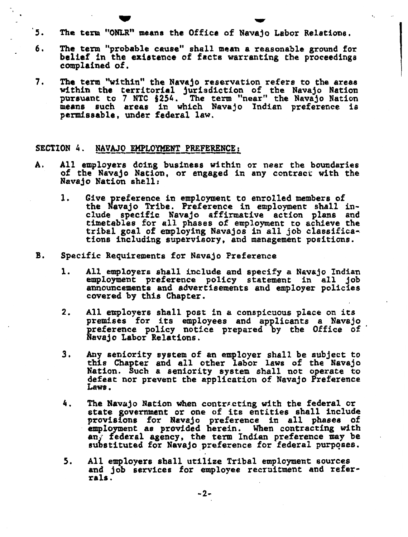5. The term "ONLR" means the Office of Navajo Labor Relations.

'·

- 6. The term "probable cause" shall mean a reasonable ground for belief in the existence of facts warranting the proceedings complained of.
- 7. The term "within" the Navajo reservation refers to the areas within the territorial jurisdiction of the Navajo Nation pursuant to 7 NTC §254. The term "near" the Navajo Nation means such areas in which Navajo Indian preference is permissable, under federal law.

### SECTION 4. NAVAJO EMPLOYMENT PREFERENCE:

- A. All employers doing business within or near the boundaries of the Navajo Nation, or engaged in any contract with the Navajo Nation shell:
	- 1. Give preference in employment to enrolled members of the Navajo Tribe. Preference in employment shall include specific Navajo affirmative action plans and timetables for all phases of employment to achieve the tribal goal of employing Navajos in all job classifica-. tions including supervisory, and management positions.
- B. Specific Requirements for Navajo Preference
	- 1. All employers shall include and specify a Navajo Indian employment preference policy statement in all job announcements and advertisements and employer policies covered by this Chapter.
	- 2. All employers shall post in a conspicuous place on its<br>premises for its employees and applicants a Navajo preference policy notice prepared by the Office of Navajo Labor Relations.
	- 3. Any seniority system of an employer shall be subject to this Chapter and all other labor laws of the Navajo Nation. Such a seniority system shall not operate to defeat nor prevent the application of Navajo Preference Laws.
	- 4. The Navajo Nation when contracting with the federal or state government or one of its entities shall include provisions for Navajo preference in all phases of employment as provided herein. When contracting with any federal agency, the term Indian preference may be substituted for Navajo preference for federal purposes.
	- 5. All employers shall utilize Tribal employment sources and job services for employee recruitment and referrals.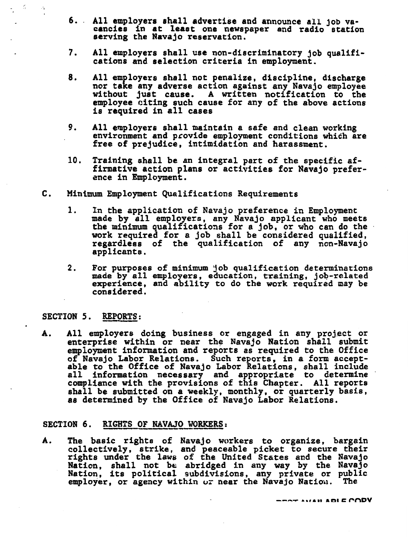- 6 •. All employers shall advertise and announce all job vacancies in at least one newspaper and radio station serving the Navajo reservation.
- 7. All employers shall use non-discriminatory job qualifi- cations and selection criteria in employment.
- 8. All employers shall not penalize, discipline, discharge nor take any adverse action against any Navajo employee<br>without just cause. A written notification to the employee citing such cause for any of the above actions is required in all cases
- 9. All employers shall maintain a safe and clean working environment and provide employment conditions which are free of prejudice, intimidation and harassment.
- 10. Training shall be an integral part of the specific affirmative action plans or activities for Navajo preference in Employment.
- c. Minimum Employment Qualifications Requirements
	- 1. In the application of Navajo preference in Employment made by all employers, any Navajo applicant who meets the minimum qualifications for a job, or who can do the work required for a job shall be considered qualified, regardless of the qualification of any non-Navajo applicants.
	- 2. For purposes of minimum job qualification determinations made by all employers, education, training, job-related<br>experience, and ability to do the work required may be considered.

### SECTION 5. REPORTS:

 $\leq$ 

'<

A. All employers doing business or engaged in any project or enterprise within or near the Navajo Nation shall submit employment information and reports as required to the Office of Navajo Labor Relations. Such reports, in a form accept- able to the Office of Navajo Labor Relations, shall include able to the office of Mavajo Babor Refactions, sharf include<br>all information necessary and appropriate to determine compliance with the provisions of this Chapter. All reports shall be submitted on a weekly, monthly, or quarterly basis, shall be submitted on a weekly, monthly, or quarterly basis,<br>as determined by the Office of Navajo Labor Relations.

### SECTION 6. RIGHTS OF NAVAJO WORKERS:

A. The basic rights of Navajo workers to organize, bargain collectively, strike, and peaceable picket to secure their Nation, shall not be abridged in any way by the Navajo<br>Nation, its political subdivisions, any private or public<br>employer, or agency within  $\omega$  near the Navajo Nation. The

 $-$ - $\cdots$   $\cdots$   $\cdots$   $\cdots$   $\cdots$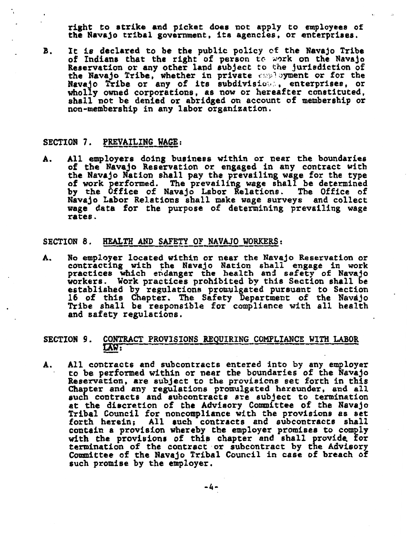right to strike and picket does not apply to employees of the Navajo tribal government, its agencies, or enterprises.

B. It is declared to be the public policy of the Navajo Tribe of Indians that the right of person to work on the Navajo Reservation or any other land subject to the jurisdiction of the Navajo Tribe, whether in private caployment or for the Navajo Tribe or any of its subdivision, enterprises, or wholly owned corporations, as now or hereafter constituted, shall not be denied or abridged on account of membership or non-membership in any labor organization.

### SECTION 7. PREVAILING WAGE:

A. All employers doing business within or near the boundaries of the Navajo Reservation or engaged in any contract with the Navajo Nation shall pay the prevailing wage for the type of work performed. The prevailins wage shall be determined by the Office of Navajo Labor Relations. The Office of Navajo Labor Relations shall make wage surveys and collect wage data for the purpose of determining prevailing wage rates.

### SECTION 8. HEALTH AND SAFETY OF NAVAJO WORKERS:

A. No employer located within or near the Navajo Reservation or contracting with the Navajo Nation shall engage in work practices which endanger the health and safety of Navajo workers. Work practices prohibited by this Section shall be established by regulations promulgated pursuant to Section 16 of this Chapter. The Safety Department of the Navajo Tribe shall be responsible for compliance with all health Tribe shall be responsible for compliance with all health and safety regulations.

### SECTION 9. CONTRACT PROVISIONS REQUIRING COMPLIANCE WITH LABOR LAW:

A. All contracts and subcontracts entered into by any employer<br>to be performed within or near the boundaries of the Navajo Reservation, are subject to the provisions set forth in this Chapter and any regulations promulgated hereunder, and all such contracts and subcontracts are subject to termination at the discretion of the Advisory Committee of the Navajo<br>Tribal Council for noncompliance with the provisions as set Tribal Council for noncompliance with the provisions as set<br>forth herein; All such contracts and subcontracts shall contain a provision whereby the employer promises to comply<br>with the provisions of this chapter and shall provide for<br>termination of the contract or subcontract by the Advisory Committee of the Navajo Tribal Council in case of breach of such promise by the employer.

-4-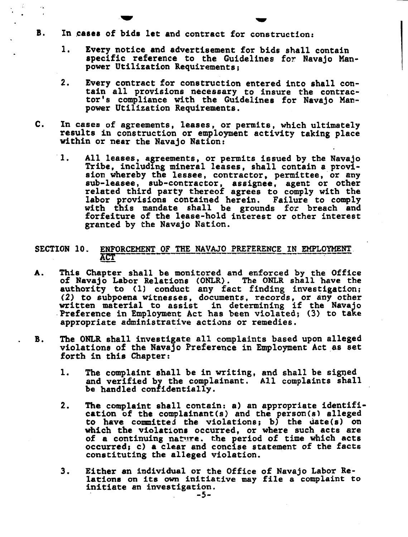- B. In caaea of bids let and contract for construction:
	- 1. Every notice and advertisement for bids shall contain specific reference to the Guidelines for Navajo Manpower Utilization Requirements;
	- 2. Every contract for construction entered into shall contain all provisions necessary to insure the contractor's compliance with the Guidelines for Navajo Manpower Utilization Requirements.
- C. In cases of agreements, leases, or permits, which ultimately results in construction or employment activity taking place within or near the Navajo Nation:
	- 1. All leases, agreements, or permits issued by the Navajo Tribe, including mineral leases, shall contain a provi-<br>sion whereby the lessee, contractor, permittee, or any<br>sub-leasee, sub-contractor, assignee, agent or other related third party thereof agrees to comply with the labor provisions contained herein. Failure to comply with this mandate shall be grounds for breach and forfeiture of the lease-hold interest or other interest granted by the Navajo Nation.

## SECTION 10. ENFORCEMENT OF THE NAVAJO PREFERENCE IN EMPLOYMENT.<br>ACT --- -- - - - ACT<br>A. This Chapter shall be monitored and enforced by the Office

- of Navajo Labor Relations (ONLR). The ONLR shall have the authority to (1) conduct any fact finding investigation; (2) to subpoena witnesses, documents, records, or any other written material to assist in determining if the Navajo .Preference in Employment Act has been violated; (3) to take Preference in Employment Act has been violated; (3) to take appropriate administrative actions or remedies.
- B. The ONLR shall investigate all complaints based upon alleged violations of the Navajo Preference in Employment Act as set forth in this Chapter:
	- 1. The complaint shall be in writing, and shall be signed and verified by the complainant. All complaints shall be handled confidentially.
	- 2. The complaint shall contain: a) an appropriate identification of the complainant(s) and the person(s) alleged to have committed the violations; b) the  $\text{date}(s)$  on which the violations occurred, or where such acts are of a continuing nature. the period of time which acts occurred; c) a clear and concise statement of the facts constituting the alleged violation.
	- 3. Either an individual or the Office of Navajo Labor Relations on its own initiative may file a complaint to initiate an investigation. -5-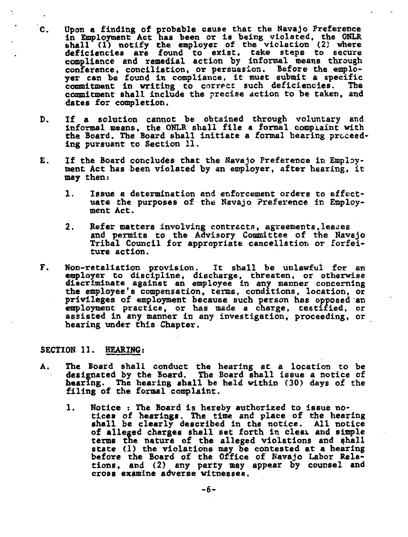- C. Upon a finding of probable cause that the Navajo Preference in Employment Act has been or is being violated, the ONLR shall (1) notify the employer of the violation (2) where deficiencies are found to exist, take steps to secure compliance and remedial action by informal means through conference, conciliation, or persuasion. Before the emploconference, conciliation, or persuasion. Before the emplo-<br>yer can be found in compliance, it must submit a specific<br>commitment in writing to correct such deficiencies. The commitment shall include the precise action to be taken, and dates for completion.
- D. If a solution cannot be obtained through voluntary and informal means, the ONLR shall file a formal complaint with the Board. The Board shall initiate a formal hearing proceeding pursuant to Section 11.
- E. If the Board concludes that the Navajo Preference in Employment Act has been violated by an employer, after hearing, it may then:
	- 1. Issue a determination and enforcement orders to effectuate the purposes of the Navajo Preference in Employment Act.
	- 2. Refer matters involving contracts, agreements, leases<br>and permits to the Advisory Committee of the Navajo<br>Tribal Council for appropriate cancellation or forfeiture action.
- F. Non-retaliation provision. It shall be unlawful for an  $\epsilon$  employer to discipline, discharge, threaten, or otherwise discriminate against an employee in any manner concerning the employee's compensation, terms, conditions, location, or privileges of employment because such person has opposed·an employment practice, or has made a charge, testified, or assisted in any manner in any investigation, proceeding, or hearing under this Chapter.

### SECTION 11. HEARING:

٠.

- A. The Board shall conduct the hearing at a location to be designated by the Board. The Board shall issue a notice of bearing. The hearing shall be held within (30) days of the filing of the formal complaint.
	- 1. Notice : The Board is hereby authorized to issue no-<br>tices of hearings. The time and place of the hearing tices of hearings. The time and place of the hearing shall be clearly described in the notice. All notice of alleged charges shall set forth in clear and simple terms the nature of the alleged violations and shall state (1) the violations may be contested at a hearing state (1) the violations may be contested at a hearing before the Board of the Office of Navajo Labor Relations, and (2) any party may appear by counsel and cross examine adverse witnesses.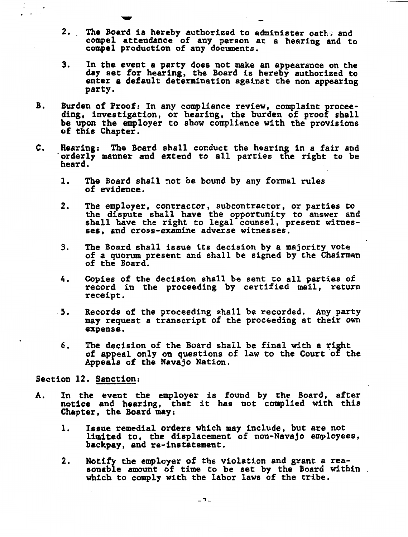- 2. The Board is hereby authorized to administer oathe and compel attendance of any person at a hearing and to compel production of any documents.
- 3. In the event a party does not make an appearance on the day set for hearing, the Board is hereby authorized to enter a default determination against the non appearing party.
- B. Burden of Proof: In any compliance review, complaint procee- ding, investigation, or hearing, the burden of proof shall be upon the employer to show compliance with the provisions of this Chapter.
- c. Hearing: The Board shall conduct the hearing in a fair and orderly manner and extend to all parties the right to be heard.
	- 1. The Board shall not be bound by any formal rules of evidence.
	- 2. The employer, contractor, subcontractor, or parties to the dispute shall have the opportunity to answer and shall have the right to legal counsel, present witnesses, and cross-examine adverse witnesses.
	- 3. The Board shall issue its decision by a majority vote of a quorum present and shall be signed by the Chairman of the Board.
	- 4. Copies of the decision shall be sent to all parties of record in the proceeding by certified mail, return receipt.
	- .5. Records of the proceeding shall be recorded. Any party may request a transcript of the proceeding at their own expense.
	- 6. The decision of the Board shall be final with a right of appeal only on questions of law to the Court of the Appeals of the Navajo Nation.

### Section 12. Sanction:

- A. In the event the employer is found by the Board, after notice and hearing, that it has not complied with this Chapter, the Board may:
	- 1. Issue remedial orders which may include, but are not limited to, the displacement of non-Navajo employees, backpay, and re-instatement.
	- 2. Notify the employer of the violation and grant a reasonable amount of time to be set by the Board within which to comply with the labor laws of the tribe.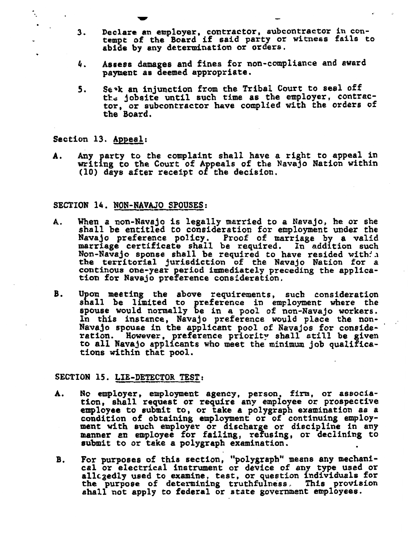- 3. Declare an employer, contractor, subcontractor in con-tempt of the Board if said party or witness fails to abide by any determination or orders.
- 4. Assess damages and fines for non-compliance and award payment as deemed appropriate.
- *s.*  se~k an injunction from the Tribal Court to seal off the jobsite until such time as the employer, contractor, or subcontractor have complied with the orders of the Board.

Section 13. Appeal:

٠.

A. Any party to the complaint shall have a right to appeal in writing to the Court of Appeals of the Navajo Nation within (10) days after receipt of the decision.

### SECTION 14. NON-NAVAJO SPOUSES:

- A. When a non-Navajo is legally married to a Navajo, he or she shall be entitled to consideration for employment under the Navajo preference policy. Proof of marriage by a valid marriage certificate shall be required. In addition such Non-Navajo sponse shall be required to have resided with:  $\frac{1}{x}$ the territorial jurisdiction of the Navajo Nation for a continous one-year period immediately preceding the applica-<br>tion for Navajo preference consideration.
- B. Upon meeting the above requirements, such consideration shall be limited to preference in employment where the spouse would normally be in a pool of non-Navajo workers. ln this instance, Navajo preference would place the non-Navajo spouse in the applicant pool of Navajos for consideration. However, preference priority shall still be given to all Navajo applicants who meet the minimum job qualifica-<br>tions within that pool.

### SECTION 15. LIE-DETECTOR TEST:

- A. No employer, employment agency, person, firm, or association, shall request or require any employee or prospective employee to submit to, or take a polygraph examination as a condition of obtaining employment or of continuing employment with such employer or discharge or discipline in any manner en employee for failing, refusing, or declining to submit to or take a polygraph examination.
- B. For purposes of this section, "polygraph" means any mechanical or electrical instrument or device of any type used or ear of electrical instrument of device of any cype used of the purpose of determining truthfulness. This provision shall not apply to federal or state government employees.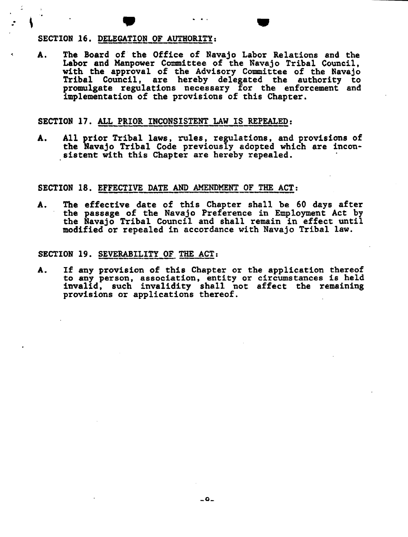# $\cdot$  \  $\cdot$  +  $\cdot$  +  $\cdot$  +  $\cdot$  +  $\cdot$  +  $\cdot$  +  $\cdot$  +  $\cdot$  +  $\cdot$  +  $\cdot$  +  $\cdot$  +  $\cdot$  +  $\cdot$  +  $\cdot$  +  $\cdot$  +  $\cdot$  +  $\cdot$  +  $\cdot$  +  $\cdot$  +  $\cdot$  +  $\cdot$  +  $\cdot$  +  $\cdot$  +  $\cdot$  +  $\cdot$  +  $\cdot$  +  $\cdot$  +  $\cdot$  +  $\cdot$  +  $\cdot$  +  $\cdot$

A. The Board of the Office of Navajo Labor Relations and the Labor and Manpower Committee of the Navajo Tribal Council, with the approval of the Advisory Committee of the Navajo Tribal Council, are hereby delegated the authority to promulgate regulations necessary for the enforcement and implementation of the provisions of this Chapter.

### SECTION 17. ALL PRIOR INCONSISTENT LAW IS REPEALED:

A. All prior Tribal laws, rules, regulations, and provisions of the Navajo Tribal Code previously adopted which are inconsistent with this Chapter are hereby repealed.

### SECTION 18. EFFECTIVE DATE AND AMENDMENT OF THE ACT:

A. The effective date of this Chapter shall be 60 days after the passage of the Navajo Preference in Employment Act by the Navajo Tribal Council and shall remain in effect until modified or repealed in accordance with Navajo Tribal law.

### SECTION 19. SEVERABILITY OF THE ACT:

A. If any provision of this Chapter or the application thereof to any person, association, entity or circumstances is held invalid, such invalidity shall not affect the remaining provisions or applications thereof.